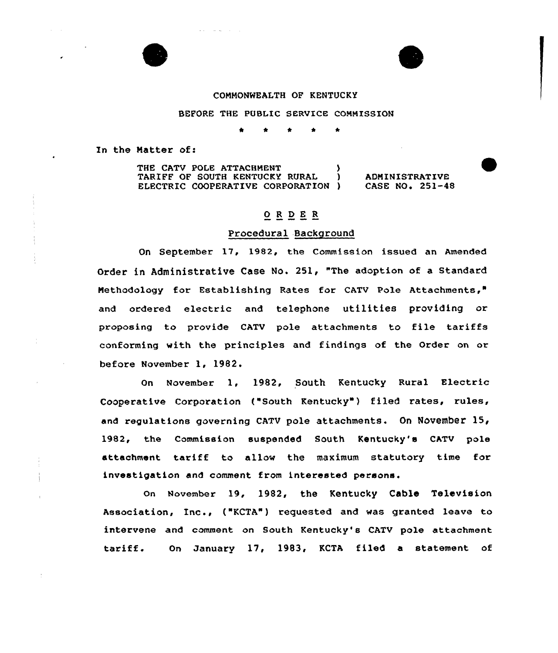



# COMMONWEALTH OF KENTUCKY

#### BEFORE THE PUBLIC SERVICE COMMISSION

\* \* \* \* \*

In the Natter of:

THE CATV POLE ATTACHMENT (1997)<br>
TARIFF OF SOUTH KENTUCKY RURAL (1997) TARIFF OF SOUTH KENTUCKY RURAL ELECTRIC COOPERATIVE CORPORATION )

ADMINISTRATIVE CASE NO. 251-48

## $**O** **R** **D** **E** **R**$ </u>

## Procedural Background

Qn September 17, 1982, the Commission issued an Amended Order in Administrative Case No. 251, "The adoption of a Standard Methodology for Establishing Rates for CATV Pole Attachments," and ordered electric and telephone utilities providing or proposing to provide CATV pole attachments to file tariffs conforming with the principles and findings of the Order on or before November 1, 1982.

On November 1, 1982, South Kentucky Rural Electric Cooperative Corporation ("South Kentucky"} filed rates, rules, and regulations governing CATV pole attachments. On November 15, 1982, the Commission suspended South Kentucky's CATV pole attachment tariff to allow the maximum statutory time for investigation and comment from interested persons.

on November 19, 1982, the Kentucky Cable Television Association, Inc., ("KCTA") requested and was granted leave to intervene and comment on South Kentucky's CATV pole attachment tariff. On January 17, 1983, KCTA filed <sup>a</sup> statement of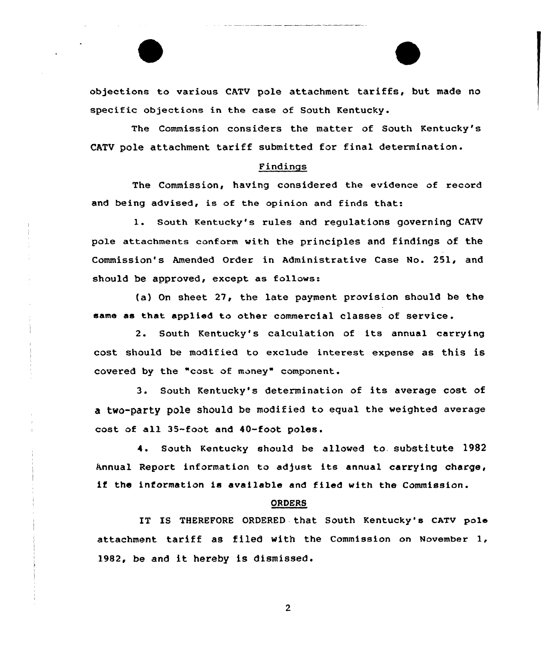

The Commission considers the matter of South Kentucky's CATV pole attachment tariff submitted for final determination.

#### Findings

The Commission, having considered the evidence of record and being advised, is of the opinion and finds that:

1. South Kentucky's rules and regulations governing CATV pole attachments conform with the principles and findings of the Commission's Amended Order in Administrative Case No. 251, and should be approved, except as follows:

(a) On sheet 27, the late payment provision should be the same as that applied to other commercial classes of service .

2. South Kentucky's calculation of its annual carrying cost should be modified to exclude interest expense as this is covered by the "cost of money" component.

3. South Kentucky's determination of its average cost of a two-party pole should be modified to equal the weighted average cost of all 35-foot and 40-foot poles.

4. south Kentucky should be allowed to. substitute 1982 Annual Report information to adjust its annual carrying charge, if the information is available and filed with the Commission.

#### ORDERS

IT Is THEREF0RE oRDERED that south Kentucky's cATv pole attachment tariff as filed with the Commission on November 1, 1982, be and it hereby is dismissed.

 $\overline{2}$